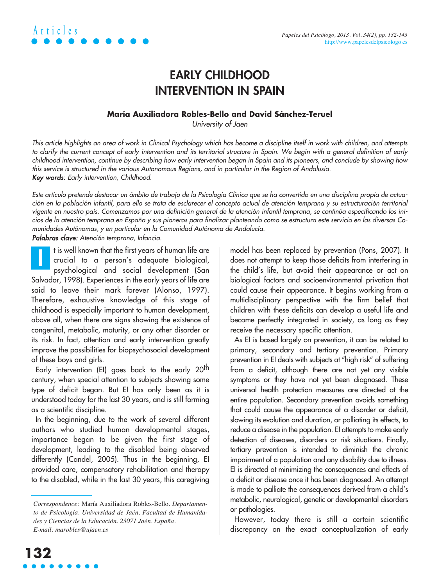

### **EARLY CHILDHOOD INTERVENTION IN SPAIN**

#### **María Auxiliadora Robles-Bello and David Sánchez-Teruel**

University of Jaen

This article highlights an area of work in Clinical Psychology which has become a discipline itself in work with children, and attempts to clarify the current concept of early intervention and its territorial structure in Spain. We begin with a general definition of early childhood intervention, continue by describing how early intervention began in Spain and its pioneers, and conclude by showing how this service is structured in the various Autonomous Regions, and in particular in the Region of Andalusia. Key words: Early intervention, Childhood.

Este artículo pretende destacar un ámbito de trabajo de la Psicología Clínica que se ha convertido en una disciplina propia de actuación en la población infantil, para ello se trata de esclarecer el concepto actual de atención temprana y su estructuración territorial vigente en nuestro país. Comenzamos por una definición general de la atención infantil temprana, se continúa especificando los inicios de la atención temprana en España y sus pioneros para finalizar planteando como se estructura este servicio en las diversas Comunidades Autónomas, y en particular en la Comunidad Autónoma de Andalucía.

Palabras clave: Atención temprana, Infancia.

t is well known that the first years of human life are crucial to a person's adequate biological, psychological and social development (San Salvador, 1998). Experiences in the early years of life are said to leave their mark forever (Alonso, 1997). Therefore, exhaustive knowledge of this stage of childhood is especially important to human development, above all, when there are signs showing the existence of congenital, metabolic, maturity, or any other disorder or its risk. In fact, attention and early intervention greatly improve the possibilities for biopsychosocial development of these boys and girls. **I**

Early intervention (EI) goes back to the early 20<sup>th</sup> century, when special attention to subjects showing some type of deficit began. But EI has only been as it is understood today for the last 30 years, and is still forming as a scientific discipline.

In the beginning, due to the work of several different authors who studied human developmental stages, importance began to be given the first stage of development, leading to the disabled being observed differently (Candel, 2005). Thus in the beginning, EI provided care, compensatory rehabilitation and therapy to the disabled, while in the last 30 years, this caregiving

model has been replaced by prevention (Pons, 2007). It does not attempt to keep those deficits from interfering in the child's life, but avoid their appearance or act on biological factors and socioenvironmental privation that could cause their appearance. It begins working from a multidisciplinary perspective with the firm belief that children with these deficits can develop a useful life and become perfectly integrated in society, as long as they receive the necessary specific attention.

As EI is based largely on prevention, it can be related to primary, secondary and tertiary prevention. Primary prevention in EI deals with subjects at "high risk" of suffering from a deficit, although there are not yet any visible symptoms or they have not yet been diagnosed. These universal health protection measures are directed at the entire population. Secondary prevention avoids something that could cause the appearance of a disorder or deficit, slowing its evolution and duration, or palliating its effects, to reduce a disease in the population. EI attempts to make early detection of diseases, disorders or risk situations. Finally, tertiary prevention is intended to diminish the chronic impairment of a population and any disability due to illness. EI is directed at minimizing the consequences and effects of a deficit or disease once it has been diagnosed. An attempt is made to palliate the consequences derived from a child's metabolic, neurological, genetic or developmental disorders or pathologies.

However, today there is still a certain scientific discrepancy on the exact conceptualization of early

*Correspondence:* María Auxiliadora Robles-Bello. *Departamento de Psicología. Universidad de Jaén. Facultad de Humanidades y Ciencias de la Educación. 23071 Jaén. España. E-mail: marobles@ujaen.es*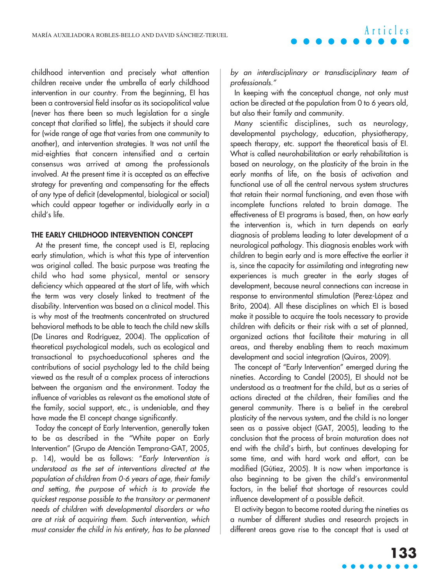childhood intervention and precisely what attention children receive under the umbrella of early childhood intervention in our country. From the beginning, EI has been a controversial field insofar as its sociopolitical value (never has there been so much legislation for a single concept that clarified so little), the subjects it should care for (wide range of age that varies from one community to another), and intervention strategies. It was not until the mid-eighties that concern intensified and a certain consensus was arrived at among the professionals involved. At the present time it is accepted as an effective strategy for preventing and compensating for the effects of any type of deficit (developmental, biological or social) which could appear together or individually early in a child's life.

#### **THE EARLY CHILDHOOD INTERVENTION CONCEPT**

At the present time, the concept used is EI, replacing early stimulation, which is what this type of intervention was original called. The basic purpose was treating the child who had some physical, mental or sensory deficiency which appeared at the start of life, with which the term was very closely linked to treatment of the disability. Intervention was based on a clinical model. This is why most of the treatments concentrated on structured behavioral methods to be able to teach the child new skills (De Linares and Rodríguez, 2004). The application of theoretical psychological models, such as ecological and transactional to psychoeducational spheres and the contributions of social psychology led to the child being viewed as the result of a complex process of interactions between the organism and the environment. Today the influence of variables as relevant as the emotional state of the family, social support, etc., is undeniable, and they have made the EI concept change significantly.

Today the concept of Early Intervention, generally taken to be as described in the "White paper on Early Intervention" (Grupo de Atención Temprana-GAT, 2005, p. 14), would be as follows: "Early Intervention is understood as the set of interventions directed at the population of children from 0-6 years of age, their family and setting, the purpose of which is to provide the quickest response possible to the transitory or permanent needs of children with developmental disorders or who are at risk of acquiring them. Such intervention, which must consider the child in his entirety, has to be planned by an interdisciplinary or transdisciplinary team of professionals."

In keeping with the conceptual change, not only must action be directed at the population from 0 to 6 years old, but also their family and community.

Many scientific disciplines, such as neurology, developmental psychology, education, physiotherapy, speech therapy, etc. support the theoretical basis of EI. What is called neurohabilitation or early rehabilitation is based on neurology, on the plasticity of the brain in the early months of life, on the basis of activation and functional use of all the central nervous system structures that retain their normal functioning, and even those with incomplete functions related to brain damage. The effectiveness of EI programs is based, then, on how early the intervention is, which in turn depends on early diagnosis of problems leading to later development of a neurological pathology. This diagnosis enables work with children to begin early and is more effective the earlier it is, since the capacity for assimilating and integrating new experiences is much greater in the early stages of development, because neural connections can increase in response to environmental stimulation (Perez-López and Brito, 2004). All these disciplines on which EI is based make it possible to acquire the tools necessary to provide children with deficits or their risk with a set of planned, organized actions that facilitate their maturing in all areas, and thereby enabling them to reach maximum development and social integration (Quiros, 2009).

The concept of "Early Intervention" emerged during the nineties. According to Candel (2005), EI should not be understood as a treatment for the child, but as a series of actions directed at the children, their families and the general community. There is a belief in the cerebral plasticity of the nervous system, and the child is no longer seen as a passive object (GAT, 2005), leading to the conclusion that the process of brain maturation does not end with the child's birth, but continues developing for some time, and with hard work and effort, can be modified (Gútiez, 2005). It is now when importance is also beginning to be given the child's environmental factors, in the belief that shortage of resources could influence development of a possible deficit.

EI activity began to become rooted during the nineties as a number of different studies and research projects in different areas gave rise to the concept that is used at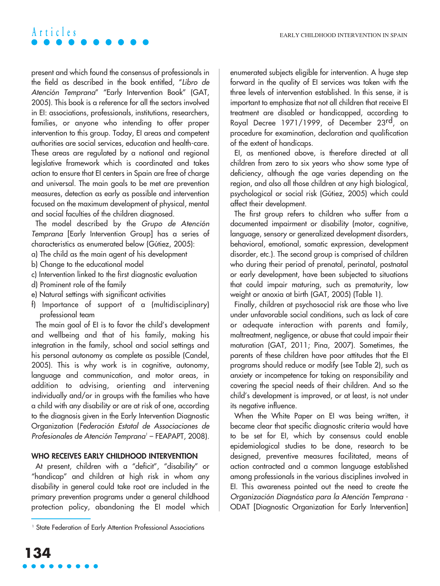present and which found the consensus of professionals in the field as described in the book entitled, "Libro de Atención Temprana" "Early Intervention Book" (GAT, 2005). This book is a reference for all the sectors involved in EI: associations, professionals, institutions, researchers, families, or anyone who intending to offer proper intervention to this group. Today, EI areas and competent authorities are social services, education and health-care. These areas are regulated by a national and regional legislative framework which is coordinated and takes action to ensure that EI centers in Spain are free of charge and universal. The main goals to be met are prevention measures, detection as early as possible and intervention focused on the maximum development of physical, mental and social faculties of the children diagnosed.

The model described by the Grupo de Atención Temprana [Early Intervention Group] has a series of characteristics as enumerated below (Gútiez, 2005):

- a) The child as the main agent of his development
- b) Change to the educational model
- c) Intervention linked to the first diagnostic evaluation
- d) Prominent role of the family
- e) Natural settings with significant activities
- f) Importance of support of a (multidisciplinary) professional team

The main goal of EI is to favor the child's development and wellbeing and that of his family, making his integration in the family, school and social settings and his personal autonomy as complete as possible (Candel, 2005). This is why work is in cognitive, autonomy, language and communication, and motor areas, in addition to advising, orienting and intervening individually and/or in groups with the families who have a child with any disability or are at risk of one, according to the diagnosis given in the Early Intervention Diagnostic Organization (Federación Estatal de Associaciones de Profesionales de Atención Temprana<sup>1</sup> - FEAPAPT, 2008).

### **WHO RECEIVES EARLY CHILDHOOD INTERVENTION**

At present, children with a "deficit", "disability" or "handicap" and children at high risk in whom any disability in general could take root are included in the primary prevention programs under a general childhood protection policy, abandoning the EI model which enumerated subjects eligible for intervention. A huge step forward in the quality of EI services was taken with the three levels of intervention established. In this sense, it is important to emphasize that not all children that receive EI treatment are disabled or handicapped, according to Royal Decree 1971/1999, of December 23rd, on procedure for examination, declaration and qualification of the extent of handicaps.

EI, as mentioned above, is therefore directed at all children from zero to six years who show some type of deficiency, although the age varies depending on the region, and also all those children at any high biological, psychological or social risk (Gútiez, 2005) which could affect their development.

The first group refers to children who suffer from a documented impairment or disability (motor, cognitive, language, sensory or generalized development disorders, behavioral, emotional, somatic expression, development disorder, etc.). The second group is comprised of children who during their period of prenatal, perinatal, postnatal or early development, have been subjected to situations that could impair maturing, such as prematurity, low weight or anoxia at birth (GAT, 2005) (Table 1).

Finally, children at psychosocial risk are those who live under unfavorable social conditions, such as lack of care or adequate interaction with parents and family, maltreatment, negligence, or abuse that could impair their maturation (GAT, 2011; Pina, 2007). Sometimes, the parents of these children have poor attitudes that the EI programs should reduce or modify (see Table 2), such as anxiety or incompetence for taking on responsibility and covering the special needs of their children. And so the child's development is improved, or at least, is not under its negative influence.

When the White Paper on EI was being written, it became clear that specific diagnostic criteria would have to be set for EI, which by consensus could enable epidemiological studies to be done, research to be designed, preventive measures facilitated, means of action contracted and a common language established among professionals in the various disciplines involved in EI. This awareness pointed out the need to create the Organización Diagnóstica para la Atención Temprana - ODAT [Diagnostic Organization for Early Intervention]

<sup>&</sup>lt;sup>1</sup> State Federation of Early Attention Professional Associations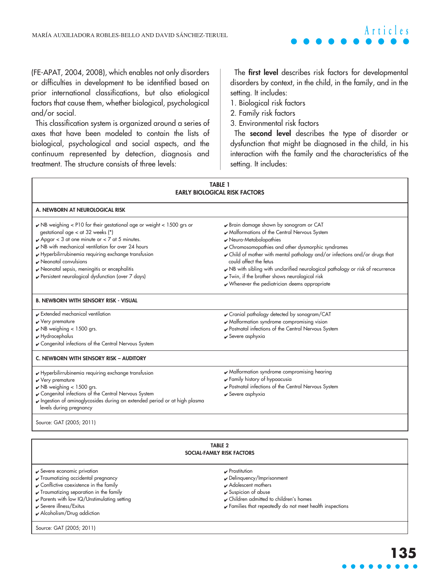(FE-APAT, 2004, 2008), which enables not only disorders or difficulties in development to be identified based on prior international classifications, but also etiological factors that cause them, whether biological, psychological and/or social.

This classification system is organized around a series of axes that have been modeled to contain the lists of biological, psychological and social aspects, and the continuum represented by detection, diagnosis and treatment. The structure consists of three levels:

The **first level** describes risk factors for developmental disorders by context, in the child, in the family, and in the setting. It includes:

- 1. Biological risk factors
- 2. Family risk factors
- 3. Environmental risk factors

The **second level** describes the type of disorder or dysfunction that might be diagnosed in the child, in his interaction with the family and the characteristics of the setting. It includes:

| <b>TABLE 1</b><br><b>EARLY BIOLOGICAL RISK FACTORS</b>                                                                                                                                                                                                                                                                                                                                                                                              |                                                                                                                                                                                                                                                                                                                                                                                                                                                                               |  |  |
|-----------------------------------------------------------------------------------------------------------------------------------------------------------------------------------------------------------------------------------------------------------------------------------------------------------------------------------------------------------------------------------------------------------------------------------------------------|-------------------------------------------------------------------------------------------------------------------------------------------------------------------------------------------------------------------------------------------------------------------------------------------------------------------------------------------------------------------------------------------------------------------------------------------------------------------------------|--|--|
| A. NEWBORN AT NEUROLOGICAL RISK                                                                                                                                                                                                                                                                                                                                                                                                                     |                                                                                                                                                                                                                                                                                                                                                                                                                                                                               |  |  |
| $\triangleright$ NB weighing < P10 for their gestational age or weight < 1500 grs or<br>gestational age < at 32 weeks (*)<br>$\sqrt{4}$ Apgar < 3 at one minute or < 7 at 5 minutes.<br>NB with mechanical ventilation for over 24 hours<br>Hyperbilirrubinemia requiring exchange transfusion<br>Neonatal convulsions<br>Neonatal sepsis, meningitis or encephalitis<br>Persistent neurological dysfunction (over 7 days)                          | Brain damage shown by sonogram or CAT<br>Malformations of the Central Nervous System<br>Neuro-Metabolopathies<br>Chromosomopathies and other dysmorphic syndromes<br>Child of mother with mental pathology and/or infections and/or drugs that<br>could affect the fetus<br>NB with sibling with unclarified neurological pathology or risk of recurrence<br>V Twin, if the brother shows neurological risk<br>$\boldsymbol{\nu}$ Whenever the pediatrician deems appropriate |  |  |
| <b>B. NEWBORN WITH SENSORY RISK - VISUAL</b>                                                                                                                                                                                                                                                                                                                                                                                                        |                                                                                                                                                                                                                                                                                                                                                                                                                                                                               |  |  |
| $\blacktriangleright$ Extended mechanical ventilation<br>$\checkmark$ Very premature<br>$\vee$ NB weighing < 1500 grs.<br>$\nu$ Hydrocephalus<br>✔ Congenital infections of the Central Nervous System                                                                                                                                                                                                                                              | ✔ Cranial pathology detected by sonogram/CAT<br>Malformation syndrome compromising vision<br>Postnatal infections of the Central Nervous System<br>✔ Severe asphyxia                                                                                                                                                                                                                                                                                                          |  |  |
| C. NEWBORN WITH SENSORY RISK - AUDITORY                                                                                                                                                                                                                                                                                                                                                                                                             |                                                                                                                                                                                                                                                                                                                                                                                                                                                                               |  |  |
| Malformation syndrome compromising hearing<br>Hyperbilirrubinemia requiring exchange transfusion<br>Family history of hypoacusia<br>$\checkmark$ Very premature<br>Postnatal infections of the Central Nervous System<br>$\vee$ NB weighing < 1500 grs.<br>Congenital infections of the Central Nervous System<br>$\mathbf y$ Severe asphyxia<br>ngestion of aminoglycosides during an extended period or at high plasma<br>levels during pregnancy |                                                                                                                                                                                                                                                                                                                                                                                                                                                                               |  |  |
| Source: GAT (2005; 2011)                                                                                                                                                                                                                                                                                                                                                                                                                            |                                                                                                                                                                                                                                                                                                                                                                                                                                                                               |  |  |
| <b>TABLE 2</b><br>SOCIAL-FAMILY RISK FACTORS                                                                                                                                                                                                                                                                                                                                                                                                        |                                                                                                                                                                                                                                                                                                                                                                                                                                                                               |  |  |

|  | ✔ Severe economic privation |  |
|--|-----------------------------|--|
|  |                             |  |

- ✔ Traumatizing accidental pregnancy
- ✔ Conflictive coexistence in the family
- ✔ Traumatizing separation in the family
- ✔ Parents with low IQ/Unstimulating setting
- ✔ Severe illness/Exitus
- $\blacktriangleright$  Alcoholism/Drug addiction

Source: GAT (2005; 2011)

- ✔ Prostitution
- ✔ Delinquency/Imprisonment
- ✔ Adolescent mothers
- $\checkmark$  Suspicion of abuse
- ✔ Children admitted to children's homes
- ✔ Families that repeatedly do not meet health inspections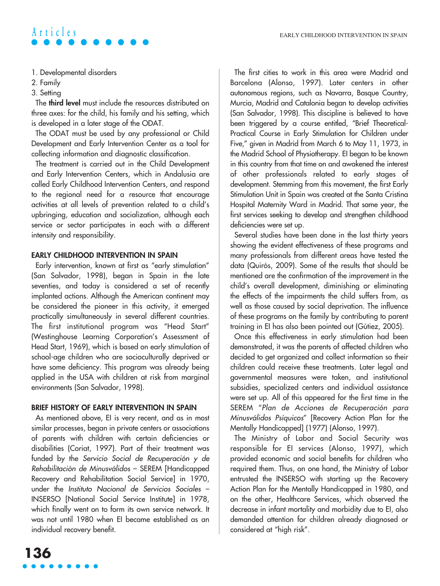- 1. Developmental disorders
- 2. Family
- 3. Setting

The **third level** must include the resources distributed on three axes: for the child, his family and his setting, which is developed in a later stage of the ODAT.

The ODAT must be used by any professional or Child Development and Early Intervention Center as a tool for collecting information and diagnostic classification.

The treatment is carried out in the Child Development and Early Intervention Centers, which in Andalusia are called Early Childhood Intervention Centers, and respond to the regional need for a resource that encourage activities at all levels of prevention related to a child's upbringing, education and socialization, although each service or sector participates in each with a different intensity and responsibility.

### **EARLY CHILDHOOD INTERVENTION IN SPAIN**

Early intervention, known at first as "early stimulation" (San Salvador, 1998), began in Spain in the late seventies, and today is considered a set of recently implanted actions. Although the American continent may be considered the pioneer in this activity, it emerged practically simultaneously in several different countries. The first institutional program was "Head Start" (Westinghouse Learning Corporation's Assessment of Head Start, 1969), which is based on early stimulation of school-age children who are socioculturally deprived or have some deficiency. This program was already being applied in the USA with children at risk from marginal environments (San Salvador, 1998).

### **BRIEF HISTORY OF EARLY INTERVENTION IN SPAIN**

As mentioned above, EI is very recent, and as in most similar processes, began in private centers or associations of parents with children with certain deficiencies or disabilities (Coriat, 1997). Part of their treatment was funded by the Servicio Social de Recuperación y de Rehabilitación de Minusválidos – SEREM [Handicapped Recovery and Rehabilitation Social Service] in 1970, under the Instituto Nacional de Servicios Sociales – INSERSO [National Social Service Institute] in 1978, which finally went on to form its own service network. It was not until 1980 when EI became established as an individual recovery benefit.

The first cities to work in this area were Madrid and Barcelona (Alonso, 1997). Later centers in other autonomous regions, such as Navarra, Basque Country, Murcia, Madrid and Catalonia began to develop activities (San Salvador, 1998). This discipline is believed to have been triggered by a course entitled, "Brief Theoretical-Practical Course in Early Stimulation for Children under Five," given in Madrid from March 6 to May 11, 1973, in the Madrid School of Physiotherapy. EI began to be known in this country from that time on and awakened the interest of other professionals related to early stages of development. Stemming from this movement, the first Early Stimulation Unit in Spain was created at the Santa Cristina Hospital Maternity Ward in Madrid. That same year, the first services seeking to develop and strengthen childhood deficiencies were set up.

Several studies have been done in the last thirty years showing the evident effectiveness of these programs and many professionals from different areas have tested the data (Quirós, 2009). Some of the results that should be mentioned are the confirmation of the improvement in the child's overall development, diminishing or eliminating the effects of the impairments the child suffers from, as well as those caused by social deprivation. The influence of these programs on the family by contributing to parent training in EI has also been pointed out (Gútiez, 2005).

Once this effectiveness in early stimulation had been demonstrated, it was the parents of affected children who decided to get organized and collect information so their children could receive these treatments. Later legal and governmental measures were taken, and institutional subsidies, specialized centers and individual assistance were set up. All of this appeared for the first time in the SEREM "Plan de Acciones de Recuperación para Minusválidos Psíquicos" [Recovery Action Plan for the Mentally Handicapped] (1977) (Alonso, 1997).

The Ministry of Labor and Social Security was responsible for EI services (Alonso, 1997), which provided economic and social benefits for children who required them. Thus, on one hand, the Ministry of Labor entrusted the INSERSO with starting up the Recovery Action Plan for the Mentally Handicapped in 1980, and on the other, Healthcare Services, which observed the decrease in infant mortality and morbidity due to EI, also demanded attention for children already diagnosed or considered at "high risk".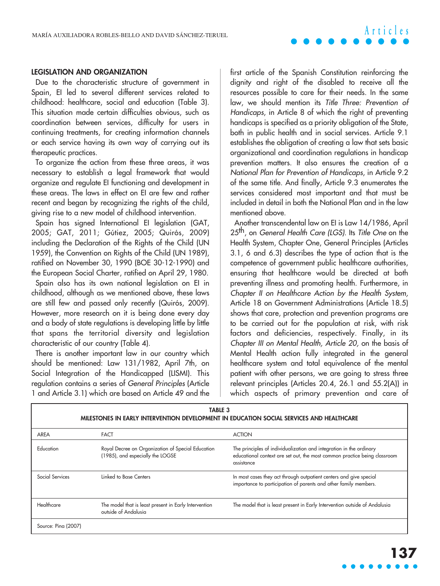# MARÍA AUXILIADORA ROBLES-BELLO AND DAVID SÁNCHEZ-TERUEL **Articles**

#### **LEGISLATION AND ORGANIZATION**

Due to the characteristic structure of government in Spain, EI led to several different services related to childhood: healthcare, social and education (Table 3). This situation made certain difficulties obvious, such as coordination between services, difficulty for users in continuing treatments, for creating information channels or each service having its own way of carrying out its therapeutic practices.

To organize the action from these three areas, it was necessary to establish a legal framework that would organize and regulate EI functioning and development in these areas. The laws in effect on EI are few and rather recent and began by recognizing the rights of the child, giving rise to a new model of childhood intervention.

Spain has signed International EI legislation (GAT, 2005; GAT, 2011; Gútiez, 2005; Quirós, 2009) including the Declaration of the Rights of the Child (UN 1959), the Convention on Rights of the Child (UN 1989), ratified on November 30, 1990 (BOE 30-12-1990) and the European Social Charter, ratified on April 29, 1980.

Spain also has its own national legislation on EI in childhood, although as we mentioned above, these laws are still few and passed only recently (Quirós, 2009). However, more research on it is being done every day and a body of state regulations is developing little by little that spans the territorial diversity and legislation characteristic of our country (Table 4).

There is another important law in our country which should be mentioned: Law 131/1982, April 7th, on Social Integration of the Handicapped (LISMI). This regulation contains a series of General Principles (Article 1 and Article 3.1) which are based on Article 49 and the

Г

first article of the Spanish Constitution reinforcing the dignity and right of the disabled to receive all the resources possible to care for their needs. In the same law, we should mention its Title Three: Prevention of Handicaps, in Article 8 of which the right of preventing handicaps is specified as a priority obligation of the State, both in public health and in social services. Article 9.1 establishes the obligation of creating a law that sets basic organizational and coordination regulations in handicap prevention matters. It also ensures the creation of a National Plan for Prevention of Handicaps, in Article 9.2 of the same title. And finally, Article 9.3 enumerates the services considered most important and that must be included in detail in both the National Plan and in the law mentioned above.

Another transcendental law on EI is Law 14/1986, April 25<sup>th</sup>, on General Health Care (LGS). Its Title One on the Health System, Chapter One, General Principles (Articles 3.1, 6 and 6.3) describes the type of action that is the competence of government public healthcare authorities, ensuring that healthcare would be directed at both preventing illness and promoting health. Furthermore, in Chapter II on Healthcare Action by the Health System, Article 18 on Government Administrations (Article 18.5) shows that care, protection and prevention programs are to be carried out for the population at risk, with risk factors and deficiencies, respectively. Finally, in its Chapter III on Mental Health, Article 20, on the basis of Mental Health action fully integrated in the general healthcare system and total equivalence of the mental patient with other persons, we are going to stress three relevant principles (Articles 20.4, 26.1 and 55.2(A)) in which aspects of primary prevention and care of

| <b>TABLE 3</b><br>MILESTONES IN EARLY INTERVENTION DEVELOPMENT IN EDUCATION SOCIAL SERVICES AND HEALTHCARE |                                                                                       |                                                                                                                                                                |  |  |
|------------------------------------------------------------------------------------------------------------|---------------------------------------------------------------------------------------|----------------------------------------------------------------------------------------------------------------------------------------------------------------|--|--|
| AREA                                                                                                       | <b>FACT</b>                                                                           | <b>ACTION</b>                                                                                                                                                  |  |  |
| Education                                                                                                  | Royal Decree on Organization of Special Education<br>(1985), and especially the LOGSE | The principles of individualization and integration in the ordinary<br>educational context are set out, the most common practice being classroom<br>assistance |  |  |
| Social Services                                                                                            | Linked to Base Centers                                                                | In most cases they act through outpatient centers and give special<br>importance to participation of parents and other family members.                         |  |  |
| Healthcare                                                                                                 | The model that is least present in Early Intervention<br>outside of Andalusia         | The model that is least present in Early Intervention outside of Andalusia                                                                                     |  |  |
| Source: Pina (2007)                                                                                        |                                                                                       |                                                                                                                                                                |  |  |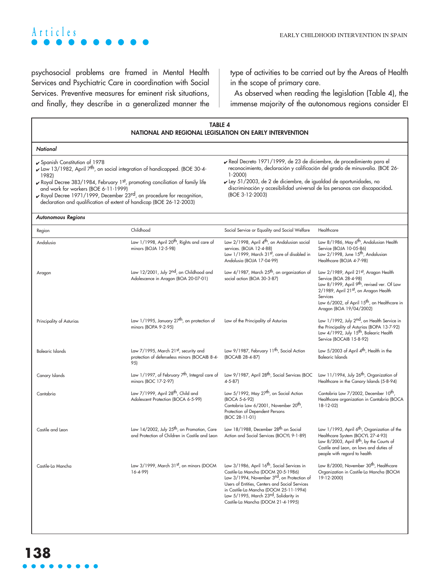# **Articles** EARLY CHILDHOOD INTERVENTION IN SPAIN

psychosocial problems are framed in Mental Health Services and Psychiatric Care in coordination with Social Services. Preventive measures for eminent risk situations, and finally, they describe in a generalized manner the type of activities to be carried out by the Areas of Health in the scope of primary care.

As observed when reading the legislation (Table 4), the immense majority of the autonomous regions consider EI

| <b>TABLE 4</b><br>NATIONAL AND REGIONAL LEGISLATION ON EARLY INTERVENTION                                                                                                                                                                                                                                                                                                                              |                                                                                                           |                                                                                                                                                                                                                                                                                                                                           |                                                                                                                                                                                                                                                                      |
|--------------------------------------------------------------------------------------------------------------------------------------------------------------------------------------------------------------------------------------------------------------------------------------------------------------------------------------------------------------------------------------------------------|-----------------------------------------------------------------------------------------------------------|-------------------------------------------------------------------------------------------------------------------------------------------------------------------------------------------------------------------------------------------------------------------------------------------------------------------------------------------|----------------------------------------------------------------------------------------------------------------------------------------------------------------------------------------------------------------------------------------------------------------------|
| National                                                                                                                                                                                                                                                                                                                                                                                               |                                                                                                           |                                                                                                                                                                                                                                                                                                                                           |                                                                                                                                                                                                                                                                      |
| Spanish Constitution of 1978<br>Law 13/1982, April $7^{\text{th}}$ , on social integration of handicapped. (BOE 30-4-<br>1982)<br>Royal Decree 383/1984, February 1st, promoting conciliation of family life<br>and work for workers (BOE 6-11-1999)<br>► Royal Decree 1971/1999, December 23rd, on procedure for recognition,<br>declaration and qualification of extent of handicap (BOE 26-12-2003) |                                                                                                           | Real Decreto 1971/1999, de 23 de diciembre, de procedimiento para el<br>reconocimiento, declaración y calificación del grado de minusvalía. (BOE 26-<br>$1 - 2000$<br>► Ley 51/2003, de 2 de diciembre, de igualdad de oportunidades, no<br>discriminación y accesibilidad universal de las personas con discapacidad.<br>(BOE 3-12-2003) |                                                                                                                                                                                                                                                                      |
| <b>Autonomous Regions</b>                                                                                                                                                                                                                                                                                                                                                                              |                                                                                                           |                                                                                                                                                                                                                                                                                                                                           |                                                                                                                                                                                                                                                                      |
| Region                                                                                                                                                                                                                                                                                                                                                                                                 | Childhood                                                                                                 | Social Service or Equality and Social Welfare                                                                                                                                                                                                                                                                                             | Healthcare                                                                                                                                                                                                                                                           |
| Andalusia                                                                                                                                                                                                                                                                                                                                                                                              | Law 1/1998, April 20 <sup>th</sup> , Rights and care of<br>minors (BOJA 12-5-98)                          | Law 2/1998, April 4 <sup>th</sup> , on Andalusian social<br>services. (BOJA 12-4-88)<br>Law 1/1999, March 31st, care of disabled in<br>Andalusia (BOJA 17-04-99)                                                                                                                                                                          | Law 8/1986, May 6 <sup>th</sup> , Andalusian Health<br>Service (BOJA 10-05-86)<br>Law 2/1998, June 15 <sup>th</sup> , Andalusian<br>Healthcare (BOJA 4-7-98)                                                                                                         |
| Aragon                                                                                                                                                                                                                                                                                                                                                                                                 | Law 12/2001, July 2 <sup>nd</sup> , on Childhood and<br>Adolescence in Aragon (BOA 20-07-01)              | Law 4/1987, March 25 <sup>th</sup> , on organization of<br>social action (BOA 30-3-87)                                                                                                                                                                                                                                                    | Law 2/1989, April 21st, Aragon Health<br>Service (BOA 28-4-98)<br>Law 8/1999, April 9 <sup>th</sup> , revised ver. Of Law<br>2/1989, April 21st, on Aragon Health<br>Services<br>Law 6/2002, of April 15 <sup>th</sup> , on Healthcare in<br>Aragon (BOA 19/04/2002) |
| Principality of Asturias                                                                                                                                                                                                                                                                                                                                                                               | Law 1/1995, January 27 <sup>th</sup> , on protection of<br>minors (BOPA 9-2-95)                           | Law of the Principality of Asturias                                                                                                                                                                                                                                                                                                       | Law 1/1992, July 2nd, on Health Service in<br>the Principality of Asturias (BOPA 13-7-92)<br>Law 4/1992, July 15 <sup>th</sup> , Balearic Health<br>Service (BOCAIB 15-8-92)                                                                                         |
| <b>Balearic Islands</b>                                                                                                                                                                                                                                                                                                                                                                                | Law 7/1995, March 21st, security and<br>protection of defenseless minors (BOCAIB 8-4-<br>95)              | Law 9/1987, February 11 <sup>th</sup> , Social Action<br>(BOCAIB 28-4-87)                                                                                                                                                                                                                                                                 | Law $5/2003$ of April $4th$ , Health in the<br><b>Balearic Islands</b>                                                                                                                                                                                               |
| Canary Islands                                                                                                                                                                                                                                                                                                                                                                                         | Law 1/1997, of February 7 <sup>th</sup> , Integral care of<br>minors (BOC 17-2-97)                        | Law 9/1987, April 28 <sup>th</sup> , Social Services (BOC<br>$4 - 5 - 87$                                                                                                                                                                                                                                                                 | Law 11/1994, July 26 <sup>th</sup> , Organization of<br>Healthcare in the Canary Islands (5-8-94)                                                                                                                                                                    |
| Cantabria                                                                                                                                                                                                                                                                                                                                                                                              | Law 7/1999, April 28 <sup>th</sup> , Child and<br>Adolescent Protection (BOCA 6-5-99)                     | Law 5/1992, May 27 <sup>th</sup> , on Social Action<br>(BOCA 5-6-92)<br>Cantabria Law 6/2001, November 20 <sup>th</sup> ,<br>Protection of Dependent Persons<br>(BOC 28-11-01)                                                                                                                                                            | Cantabria Law 7/2002, December 10 <sup>th</sup> ,<br>Healthcare organization in Cantabria (BOCA<br>$18-12-02$                                                                                                                                                        |
| Castile and Leon                                                                                                                                                                                                                                                                                                                                                                                       | Law 14/2002, July 25 <sup>th</sup> , on Promotion, Care<br>and Protection of Children in Castile and Leon | Law 18/1988, December 28 <sup>th</sup> on Social<br>Action and Social Services (BOCYL 9-1-89)                                                                                                                                                                                                                                             | Law 1/1993, April 6 <sup>th</sup> , Organization of the<br>Healthcare System (BOCYL 27-4-93)<br>Law 8/2003, April 8 <sup>th</sup> , by the Courts of<br>Castile and Leon, on laws and duties of<br>people with regard to health                                      |
| Castile-La Mancha                                                                                                                                                                                                                                                                                                                                                                                      | Law 3/1999, March 31st, on minors (DOCM<br>$16 - 4 - 99$                                                  | Law 3/1986, April 16 <sup>th</sup> , Social Services in<br>Castile-La Mancha (DOCM 20-5-1986)<br>Law 3/1994, November 3rd, on Protection of<br>Users of Entities, Centers and Social Services<br>in Castile-La Mancha (DOCM 25-11-1994)<br>Law 5/1995, March 23rd, Solidarity in<br>Castile-La Mancha (DOCM 21-4-1995)                    | Law 8/2000, November 30 <sup>th</sup> , Healthcare<br>Organization in Castile-La Mancha (BOCM<br>19-12-2000)                                                                                                                                                         |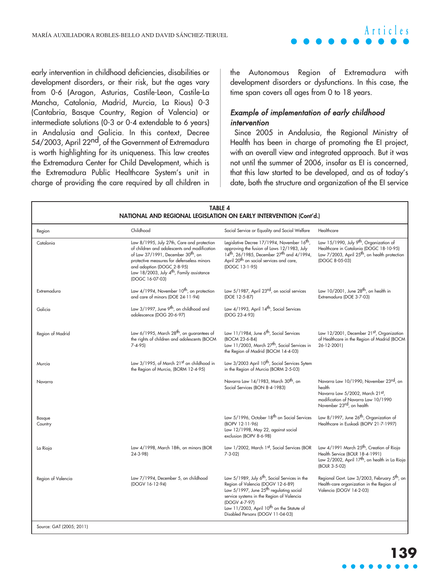early intervention in childhood deficiencies, disabilities or development disorders, or their risk, but the ages vary from 0-6 (Aragon, Asturias, Castile-Leon, Castile-La Mancha, Catalonia, Madrid, Murcia, La Rious) 0-3 (Cantabria, Basque Country, Region of Valencia) or intermediate solutions (0-3 or 0-4 extendable to 6 years) in Andalusia and Galicia. In this context, Decree 54/2003, April 22<sup>nd</sup>, of the Government of Extremadura is worth highlighting for its uniqueness. This law creates the Extremadura Center for Child Development, which is the Extremadura Public Healthcare System's unit in charge of providing the care required by all children in the Autonomous Region of Extremadura with development disorders or dysfunctions. In this case, the time span covers all ages from 0 to 18 years.

### Example of implementation of early childhood intervention

Since 2005 in Andalusia, the Regional Ministry of Health has been in charge of promoting the EI project, with an overall view and integrated approach. But it was not until the summer of 2006, insofar as EI is concerned, that this law started to be developed, and as of today's date, both the structure and organization of the EI service

| <b>TABLE 4</b><br>NATIONAL AND REGIONAL LEGISLATION ON EARLY INTERVENTION (Cont'd.) |                                                                                                                                                                                                                                                                                                      |                                                                                                                                                                                                                                                                                                                  |                                                                                                                                                                               |  |
|-------------------------------------------------------------------------------------|------------------------------------------------------------------------------------------------------------------------------------------------------------------------------------------------------------------------------------------------------------------------------------------------------|------------------------------------------------------------------------------------------------------------------------------------------------------------------------------------------------------------------------------------------------------------------------------------------------------------------|-------------------------------------------------------------------------------------------------------------------------------------------------------------------------------|--|
| Region                                                                              | Childhood                                                                                                                                                                                                                                                                                            | Social Service or Equality and Social Welfare                                                                                                                                                                                                                                                                    | Healthcare                                                                                                                                                                    |  |
| Catalonia                                                                           | Law 8/1995, July 27th, Care and protection<br>of children and adolescents and modification<br>of Law 37/1991, December 30 <sup>th</sup> , on<br>protective measures for defenseless minors<br>and adoption (DOGC 2-8-95)<br>Law 18/2003, July $4^{\text{th}}$ , Family assistance<br>(DOGC 16-07-03) | Legislative Decree 17/1994, November 16 <sup>th</sup><br>approving the fusion of Laws 12/1983, July<br>14th, 26/1985, December 27th and 4/1994,<br>April 20 <sup>th</sup> on social services and care,<br>(DOGC 13-1-95)                                                                                         | Law 15/1990, July 9 <sup>th</sup> , Organization of<br>Healthcare in Catalonia (DOGC 18-10-95)<br>Law 7/2003, April 25 <sup>th</sup> , on health protection<br>(DOGC 8-05-03) |  |
| Extremadura                                                                         | Law 4/1994, November 10 <sup>th</sup> , on protection<br>and care of minors (DOE 24-11-94)                                                                                                                                                                                                           | Law 5/1987, April 23rd, on social services<br>(DOE 12-5-87)                                                                                                                                                                                                                                                      | Law $10/2001$ , June $28th$ , on health in<br>Extremadura (DOE 3-7-03)                                                                                                        |  |
| Galicia                                                                             | Law 3/1997, June 9 <sup>th</sup> , on childhood and<br>adolescence (DOG 20-6-97)                                                                                                                                                                                                                     | Law 4/1993, April 14 <sup>th</sup> , Social Services<br>(DOG 23-4-93)                                                                                                                                                                                                                                            |                                                                                                                                                                               |  |
| Region of Madrid                                                                    | Law 6/1995, March 28 <sup>th</sup> , on guarantees of<br>the rights of children and adolescents (BOCM<br>$7 - 4 - 95$                                                                                                                                                                                | Law 11/1984, June 6 <sup>th</sup> , Social Services<br>(BOCM 23-6-84)<br>Law 11/2003, March 27 <sup>th</sup> , Social Services in<br>the Region of Madrid (BOCM 14-4-03)                                                                                                                                         | Law 12/2001, December 21st, Organization<br>of Healthcare in the Region of Madrid (BOCM<br>26-12-2001)                                                                        |  |
| Murcia                                                                              | Law 3/1995, of March 21st on childhood in<br>the Region of Murcia, (BORM 12-4-95)                                                                                                                                                                                                                    | Law 3/2003 April 10 <sup>th</sup> , Social Services Sytem<br>in the Region of Murcia (BORM 2-5-03)                                                                                                                                                                                                               |                                                                                                                                                                               |  |
| Navarra                                                                             |                                                                                                                                                                                                                                                                                                      | Navarra Law 14/1983, March 30 <sup>th</sup> , on<br>Social Services (BON 8-4-1983)                                                                                                                                                                                                                               | Navarra Law 10/1990, November 23rd, on<br>health<br>Navarra Law 5/2002, March 21st,<br>modification of Navarra Law 10/1990<br>November 23rd, on health                        |  |
| Basque<br>Country                                                                   |                                                                                                                                                                                                                                                                                                      | Law 5/1996, October 18 <sup>th</sup> on Social Services<br>(BOPV 12-11-96)<br>Law 12/1998, May 22, against social<br>exclusion (BOPV 8-6-98)                                                                                                                                                                     | Law 8/1997, June 26 <sup>th</sup> , Organization of<br>Healthcare in Euskadi (BOPV 21-7-1997)                                                                                 |  |
| La Rioja                                                                            | Law 4/1998, March 18th, on minors (BOR<br>$24 - 3 - 98$                                                                                                                                                                                                                                              | Law 1/2002, March 1st, Social Services (BOR<br>$7 - 3 - 02$                                                                                                                                                                                                                                                      | Law 4/1991 March 25 <sup>th</sup> , Creation of Rioja<br>Health Service (BOLR 18-4-1991)<br>Law 2/2002, April 17 <sup>th</sup> , on health in La Rioja<br>(BOLR 3-5-02)       |  |
| Region of Valencia                                                                  | Law 7/1994, December 5, on childhood<br>(DOGV 16-12-94)                                                                                                                                                                                                                                              | Law 5/1989, July 6 <sup>th</sup> , Social Services in the<br>Region of Valencia (DOGV 12-6-89)<br>Law 5/1997, June 25 <sup>th</sup> regulating social<br>service systems in the Region of Valencia<br>(DOGV 4-7-97)<br>Law 11/2003, April 10 <sup>th</sup> on the Statute of<br>Disabled Persons (DOGV 11-04-03) | Regional Govt. Law 3/2003, February 5 <sup>th</sup> , on<br>Health-care organization in the Region of<br>Valencia (DOGV 14-2-03)                                              |  |
| Source: GAT (2005; 2011)                                                            |                                                                                                                                                                                                                                                                                                      |                                                                                                                                                                                                                                                                                                                  |                                                                                                                                                                               |  |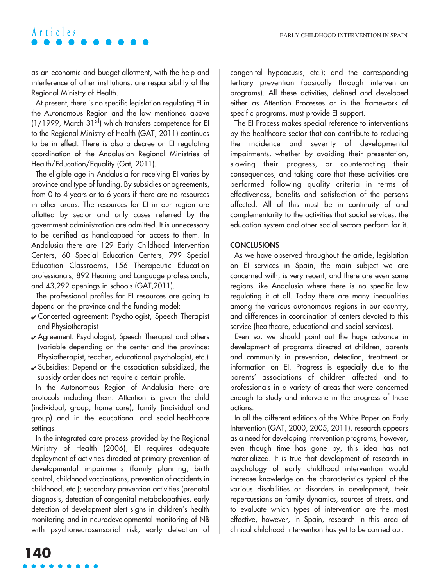as an economic and budget allotment, with the help and interference of other institutions, are responsibility of the Regional Ministry of Health.

At present, there is no specific legislation regulating EI in the Autonomous Region and the law mentioned above (1/1999, March 31st) which transfers competence for EI to the Regional Ministry of Health (GAT, 2011) continues to be in effect. There is also a decree on EI regulating coordination of the Andalusian Regional Ministries of Health/Education/Equality (Gat, 2011).

The eligible age in Andalusia for receiving EI varies by province and type of funding. By subsidies or agreements, from 0 to 4 years or to 6 years if there are no resources in other areas. The resources for EI in our region are allotted by sector and only cases referred by the government administration are admitted. It is unnecessary to be certified as handicapped for access to them. In Andalusia there are 129 Early Childhood Intervention Centers, 60 Special Education Centers, 799 Special Education Classrooms, 156 Therapeutic Education professionals, 892 Hearing and Language professionals, and 43,292 openings in schools (GAT,2011).

The professional profiles for EI resources are going to depend on the province and the funding model:

- ✔ Concerted agreement: Psychologist, Speech Therapist and Physiotherapist
- ✔ Agreement: Psychologist, Speech Therapist and others (variable depending on the center and the province: Physiotherapist, teacher, educational psychologist, etc.)
- $\checkmark$  Subsidies: Depend on the association subsidized, the subsidy order does not require a certain profile.

In the Autonomous Region of Andalusia there are protocols including them. Attention is given the child (individual, group, home care), family (individual and group) and in the educational and social-healthcare settings.

In the integrated care process provided by the Regional Ministry of Health (2006), EI requires adequate deployment of activities directed at primary prevention of developmental impairments (family planning, birth control, childhood vaccinations, prevention of accidents in childhood, etc.); secondary prevention activities (prenatal diagnosis, detection of congenital metabolopathies, early detection of development alert signs in children's health monitoring and in neurodevelopmental monitoring of NB with psychoneurosensorial risk, early detection of congenital hypoacusis, etc.); and the corresponding tertiary prevention (basically through intervention programs). All these activities, defined and developed either as Attention Processes or in the framework of specific programs, must provide EI support.

The EI Process makes special reference to interventions by the healthcare sector that can contribute to reducing the incidence and severity of developmental impairments, whether by avoiding their presentation, slowing their progress, or counteracting their consequences, and taking care that these activities are performed following quality criteria in terms of effectiveness, benefits and satisfaction of the persons affected. All of this must be in continuity of and complementarity to the activities that social services, the education system and other social sectors perform for it.

### **CONCLUSIONS**

As we have observed throughout the article, legislation on EI services in Spain, the main subject we are concerned with, is very recent, and there are even some regions like Andalusia where there is no specific law regulating it at all. Today there are many inequalities among the various autonomous regions in our country, and differences in coordination of centers devoted to this service (healthcare, educational and social services).

Even so, we should point out the huge advance in development of programs directed at children, parents and community in prevention, detection, treatment or information on EI. Progress is especially due to the parents' associations of children affected and to professionals in a variety of areas that were concerned enough to study and intervene in the progress of these actions.

In all the different editions of the White Paper on Early Intervention (GAT, 2000, 2005, 2011), research appears as a need for developing intervention programs, however, even though time has gone by, this idea has not materialized. It is true that development of research in psychology of early childhood intervention would increase knowledge on the characteristics typical of the various disabilities or disorders in development, their repercussions on family dynamics, sources of stress, and to evaluate which types of intervention are the most effective, however, in Spain, research in this area of clinical childhood intervention has yet to be carried out.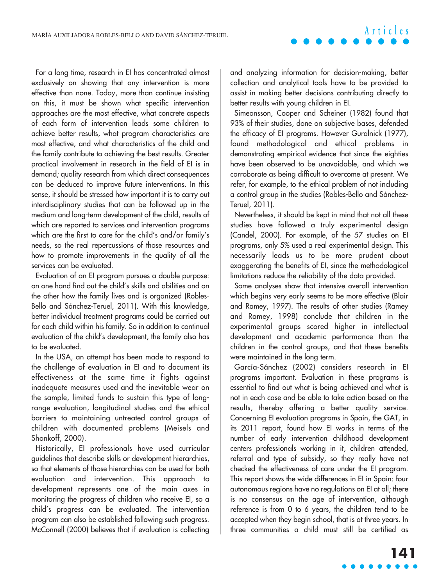For a long time, research in EI has concentrated almost exclusively on showing that any intervention is more effective than none. Today, more than continue insisting on this, it must be shown what specific intervention approaches are the most effective, what concrete aspects of each form of intervention leads some children to achieve better results, what program characteristics are most effective, and what characteristics of the child and the family contribute to achieving the best results. Greater practical involvement in research in the field of EI is in demand; quality research from which direct consequences can be deduced to improve future interventions. In this sense, it should be stressed how important it is to carry out interdisciplinary studies that can be followed up in the medium and long-term development of the child, results of which are reported to services and intervention programs which are the first to care for the child's and/or family's needs, so the real repercussions of those resources and how to promote improvements in the quality of all the services can be evaluated.

Evaluation of an EI program pursues a double purpose: on one hand find out the child's skills and abilities and on the other how the family lives and is organized (Robles-Bello and Sánchez-Teruel, 2011). With this knowledge, better individual treatment programs could be carried out for each child within his family. So in addition to continual evaluation of the child's development, the family also has to be evaluated.

In the USA, an attempt has been made to respond to the challenge of evaluation in EI and to document its effectiveness at the same time it fights against inadequate measures used and the inevitable wear on the sample, limited funds to sustain this type of longrange evaluation, longitudinal studies and the ethical barriers to maintaining untreated control groups of children with documented problems (Meisels and Shonkoff, 2000).

Historically, EI professionals have used curricular guidelines that describe skills or development hierarchies, so that elements of those hierarchies can be used for both evaluation and intervention. This approach to development represents one of the main axes in monitoring the progress of children who receive EI, so a child's progress can be evaluated. The intervention program can also be established following such progress. McConnell (2000) believes that if evaluation is collecting and analyzing information for decision-making, better collection and analytical tools have to be provided to assist in making better decisions contributing directly to better results with young children in EI.

**Articles**

Simeonsson, Cooper and Scheiner (1982) found that 93% of their studies, done on subjective bases, defended the efficacy of EI programs. However Guralnick (1977), found methodological and ethical problems in demonstrating empirical evidence that since the eighties have been observed to be unavoidable, and which we corroborate as being difficult to overcome at present. We refer, for example, to the ethical problem of not including a control group in the studies (Robles-Bello and Sánchez-Teruel, 2011).

Nevertheless, it should be kept in mind that not all these studies have followed a truly experimental design (Candel, 2000). For example, of the 57 studies on EI programs, only 5% used a real experimental design. This necessarily leads us to be more prudent about exaggerating the benefits of EI, since the methodological limitations reduce the reliability of the data provided.

Some analyses show that intensive overall intervention which begins very early seems to be more effective (Blair and Ramey, 1997). The results of other studies (Ramey and Ramey, 1998) conclude that children in the experimental groups scored higher in intellectual development and academic performance than the children in the control groups, and that these benefits were maintained in the long term.

García-Sánchez (2002) considers research in EI programs important. Evaluation in these programs is essential to find out what is being achieved and what is not in each case and be able to take action based on the results, thereby offering a better quality service. Concerning EI evaluation programs in Spain, the GAT, in its 2011 report, found how EI works in terms of the number of early intervention childhood development centers professionals working in it, children attended, referral and type of subsidy, so they really have not checked the effectiveness of care under the EI program. This report shows the wide differences in EI in Spain: four autonomous regions have no regulations on EI at all; there is no consensus on the age of intervention, although reference is from 0 to 6 years, the children tend to be accepted when they begin school, that is at three years. In three communities a child must still be certified as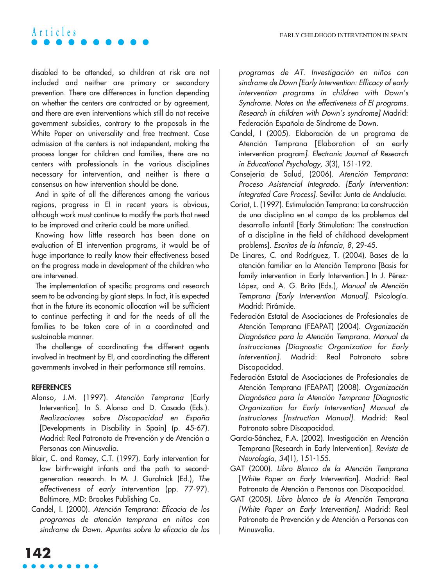disabled to be attended, so children at risk are not included and neither are primary or secondary prevention. There are differences in function depending on whether the centers are contracted or by agreement, and there are even interventions which still do not receive government subsidies, contrary to the proposals in the White Paper on universality and free treatment. Case admission at the centers is not independent, making the process longer for children and families, there are no centers with professionals in the various disciplines necessary for intervention, and neither is there a consensus on how intervention should be done.

And in spite of all the differences among the various regions, progress in EI in recent years is obvious, although work must continue to modify the parts that need to be improved and criteria could be more unified.

Knowing how little research has been done on evaluation of EI intervention programs, it would be of huge importance to really know their effectiveness based on the progress made in development of the children who are intervened.

The implementation of specific programs and research seem to be advancing by giant steps. In fact, it is expected that in the future its economic allocation will be sufficient to continue perfecting it and for the needs of all the families to be taken care of in a coordinated and sustainable manner.

The challenge of coordinating the different agents involved in treatment by EI, and coordinating the different governments involved in their performance still remains.

#### **REFERENCES**

- Alonso, J.M. (1997). Atención Temprana [Early Intervention]. In S. Alonso and D. Casado (Eds.). Realizaciones sobre Discapacidad en España [Developments in Disability in Spain] (p. 45-67). Madrid: Real Patronato de Prevención y de Atención a Personas con Minusvalía.
- Blair, C. and Ramey, C.T. (1997). Early intervention for low birth-weight infants and the path to secondgeneration research. In M. J. Guralnick (Ed.), The effectiveness of early intervention (pp. 77-97). Baltimore, MD: Brookes Publishing Co.
- Candel, I. (2000). Atención Temprana: Eficacia de los programas de atención temprana en niños con síndrome de Down. Apuntes sobre la eficacia de los

programas de AT. Investigación en niños con síndrome de Down [Early Intervention: Efficacy of early intervention programs in children with Down's Syndrome. Notes on the effectiveness of EI programs. Research in children with Down's syndrome] Madrid: Federación Española de Síndrome de Down.

- Candel, I (2005). Elaboración de un programa de Atención Temprana [Elaboration of an early intervention program]. Electronic Journal of Research in Educational Psychology, 3(3), 151-192.
- Consejería de Salud, (2006). Atención Temprana: Proceso Asistencial Integrado. [Early Intervention: Integrated Care Process]. Sevilla: Junta de Andalucía.
- Coriat, L. (1997). Estimulación Temprana: La construcción de una disciplina en el campo de los problemas del desarrollo infantil [Early Stimulation: The construction of a discipline in the field of childhood development problems]. Escritos de la Infancia, 8, 29-45.
- De Linares, C. and Rodríguez, T. (2004). Bases de la atención familiar en la Atención Temprana [Basis for family intervention in Early Intervention.] In J. Pérez-López, and A. G. Brito (Eds.), Manual de Atención Temprana [Early Intervention Manual]. Psicología. Madrid: Pirámide.
- Federación Estatal de Asociaciones de Profesionales de Atención Temprana (FEAPAT) (2004). Organización Diagnóstica para la Atención Temprana. Manual de Instrucciones [Diagnostic Organization for Early Intervention]. Madrid: Real Patronato sobre Discapacidad.
- Federación Estatal de Asociaciones de Profesionales de Atención Temprana (FEAPAT) (2008). Organización Diagnóstica para la Atención Temprana [Diagnostic Organization for Early Intervention] Manual de Instruciones [Instruction Manual]. Madrid: Real Patronato sobre Discapacidad.
- García-Sánchez, F.A. (2002). Investigación en Atención Temprana [Research in Early Intervention]. Revista de Neurología, 34(1), 151-155.
- GAT (2000). Libro Blanco de la Atención Temprana [White Paper on Early Intervention]. Madrid: Real Patronato de Atención a Personas con Discapacidad.
- GAT (2005). Libro blanco de la Atención Temprana [White Paper on Early Intervention]. Madrid: Real Patronato de Prevención y de Atención a Personas con Minusvalía.